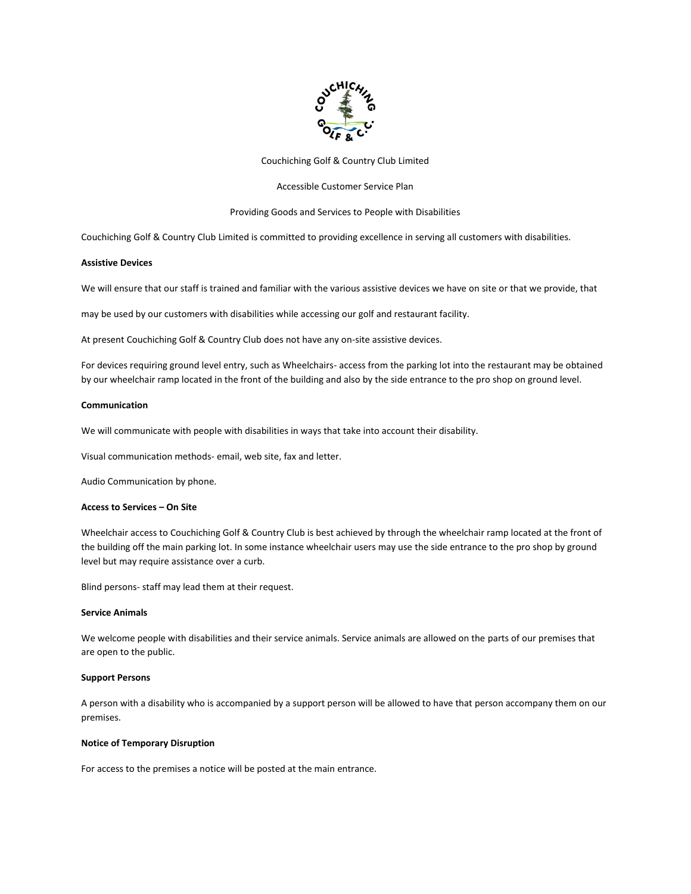

Couchiching Golf & Country Club Limited

## Accessible Customer Service Plan

## Providing Goods and Services to People with Disabilities

Couchiching Golf & Country Club Limited is committed to providing excellence in serving all customers with disabilities.

## **Assistive Devices**

We will ensure that our staff is trained and familiar with the various assistive devices we have on site or that we provide, that

may be used by our customers with disabilities while accessing our golf and restaurant facility.

At present Couchiching Golf & Country Club does not have any on-site assistive devices.

For devices requiring ground level entry, such as Wheelchairs- access from the parking lot into the restaurant may be obtained by our wheelchair ramp located in the front of the building and also by the side entrance to the pro shop on ground level.

#### **Communication**

We will communicate with people with disabilities in ways that take into account their disability.

Visual communication methods- email, web site, fax and letter.

Audio Communication by phone.

#### **Access to Services – On Site**

Wheelchair access to Couchiching Golf & Country Club is best achieved by through the wheelchair ramp located at the front of the building off the main parking lot. In some instance wheelchair users may use the side entrance to the pro shop by ground level but may require assistance over a curb.

Blind persons- staff may lead them at their request.

#### **Service Animals**

We welcome people with disabilities and their service animals. Service animals are allowed on the parts of our premises that are open to the public.

#### **Support Persons**

A person with a disability who is accompanied by a support person will be allowed to have that person accompany them on our premises.

## **Notice of Temporary Disruption**

For access to the premises a notice will be posted at the main entrance.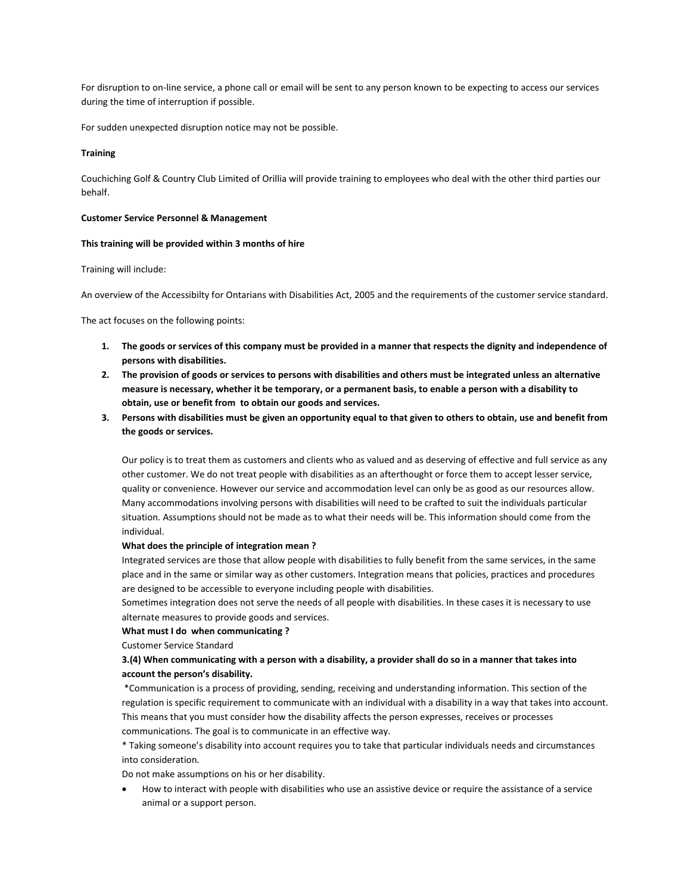For disruption to on-line service, a phone call or email will be sent to any person known to be expecting to access our services during the time of interruption if possible.

For sudden unexpected disruption notice may not be possible.

### **Training**

Couchiching Golf & Country Club Limited of Orillia will provide training to employees who deal with the other third parties our behalf.

#### **Customer Service Personnel & Management**

#### **This training will be provided within 3 months of hire**

Training will include:

An overview of the Accessibilty for Ontarians with Disabilities Act, 2005 and the requirements of the customer service standard.

The act focuses on the following points:

- **1. The goods or services of this company must be provided in a manner that respects the dignity and independence of persons with disabilities.**
- **2. The provision of goods or services to persons with disabilities and others must be integrated unless an alternative measure is necessary, whether it be temporary, or a permanent basis, to enable a person with a disability to obtain, use or benefit from to obtain our goods and services.**
- **3. Persons with disabilities must be given an opportunity equal to that given to others to obtain, use and benefit from the goods or services.**

Our policy is to treat them as customers and clients who as valued and as deserving of effective and full service as any other customer. We do not treat people with disabilities as an afterthought or force them to accept lesser service, quality or convenience. However our service and accommodation level can only be as good as our resources allow. Many accommodations involving persons with disabilities will need to be crafted to suit the individuals particular situation. Assumptions should not be made as to what their needs will be. This information should come from the individual.

### **What does the principle of integration mean ?**

Integrated services are those that allow people with disabilities to fully benefit from the same services, in the same place and in the same or similar way as other customers. Integration means that policies, practices and procedures are designed to be accessible to everyone including people with disabilities.

Sometimes integration does not serve the needs of all people with disabilities. In these cases it is necessary to use alternate measures to provide goods and services.

# **What must I do when communicating ?**

Customer Service Standard

## **3.(4) When communicating with a person with a disability, a provider shall do so in a manner that takes into account the person's disability.**

\*Communication is a process of providing, sending, receiving and understanding information. This section of the regulation is specific requirement to communicate with an individual with a disability in a way that takes into account. This means that you must consider how the disability affects the person expresses, receives or processes communications. The goal is to communicate in an effective way.

\* Taking someone's disability into account requires you to take that particular individuals needs and circumstances into consideration.

Do not make assumptions on his or her disability.

 How to interact with people with disabilities who use an assistive device or require the assistance of a service animal or a support person.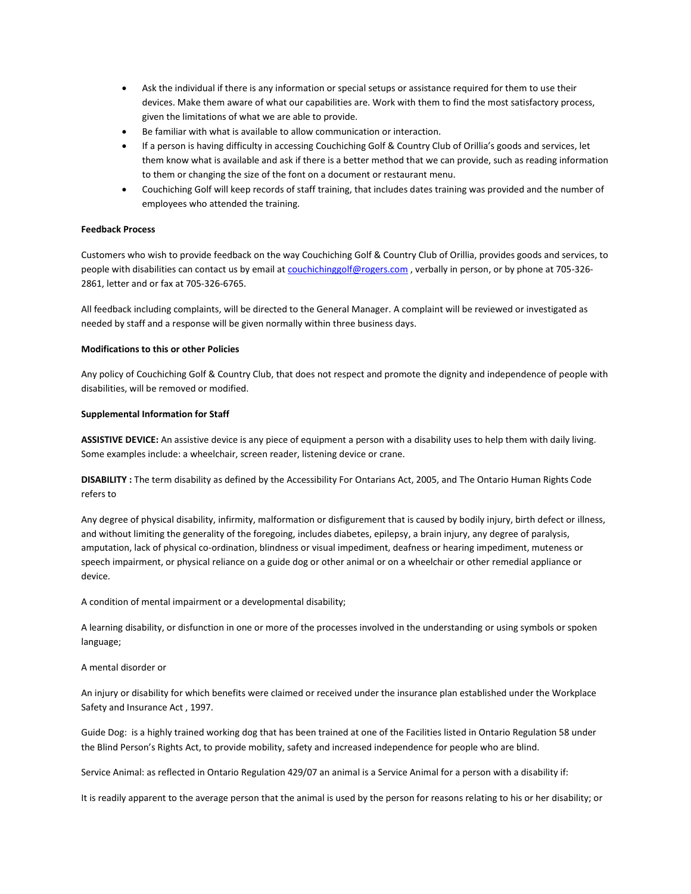- Ask the individual if there is any information or special setups or assistance required for them to use their devices. Make them aware of what our capabilities are. Work with them to find the most satisfactory process, given the limitations of what we are able to provide.
- Be familiar with what is available to allow communication or interaction.
- If a person is having difficulty in accessing Couchiching Golf & Country Club of Orillia's goods and services, let them know what is available and ask if there is a better method that we can provide, such as reading information to them or changing the size of the font on a document or restaurant menu.
- Couchiching Golf will keep records of staff training, that includes dates training was provided and the number of employees who attended the training.

## **Feedback Process**

Customers who wish to provide feedback on the way Couchiching Golf & Country Club of Orillia, provides goods and services, to people with disabilities can contact us by email at [couchichinggolf@rogers.com](mailto:couchichinggolf@rogers.com), verbally in person, or by phone at 705-326-2861, letter and or fax at 705-326-6765.

All feedback including complaints, will be directed to the General Manager. A complaint will be reviewed or investigated as needed by staff and a response will be given normally within three business days.

## **Modifications to this or other Policies**

Any policy of Couchiching Golf & Country Club, that does not respect and promote the dignity and independence of people with disabilities, will be removed or modified.

## **Supplemental Information for Staff**

**ASSISTIVE DEVICE:** An assistive device is any piece of equipment a person with a disability uses to help them with daily living. Some examples include: a wheelchair, screen reader, listening device or crane.

**DISABILITY :** The term disability as defined by the Accessibility For Ontarians Act, 2005, and The Ontario Human Rights Code refers to

Any degree of physical disability, infirmity, malformation or disfigurement that is caused by bodily injury, birth defect or illness, and without limiting the generality of the foregoing, includes diabetes, epilepsy, a brain injury, any degree of paralysis, amputation, lack of physical co-ordination, blindness or visual impediment, deafness or hearing impediment, muteness or speech impairment, or physical reliance on a guide dog or other animal or on a wheelchair or other remedial appliance or device.

A condition of mental impairment or a developmental disability;

A learning disability, or disfunction in one or more of the processes involved in the understanding or using symbols or spoken language;

## A mental disorder or

An injury or disability for which benefits were claimed or received under the insurance plan established under the Workplace Safety and Insurance Act , 1997.

Guide Dog: is a highly trained working dog that has been trained at one of the Facilities listed in Ontario Regulation 58 under the Blind Person's Rights Act, to provide mobility, safety and increased independence for people who are blind.

Service Animal: as reflected in Ontario Regulation 429/07 an animal is a Service Animal for a person with a disability if:

It is readily apparent to the average person that the animal is used by the person for reasons relating to his or her disability; or